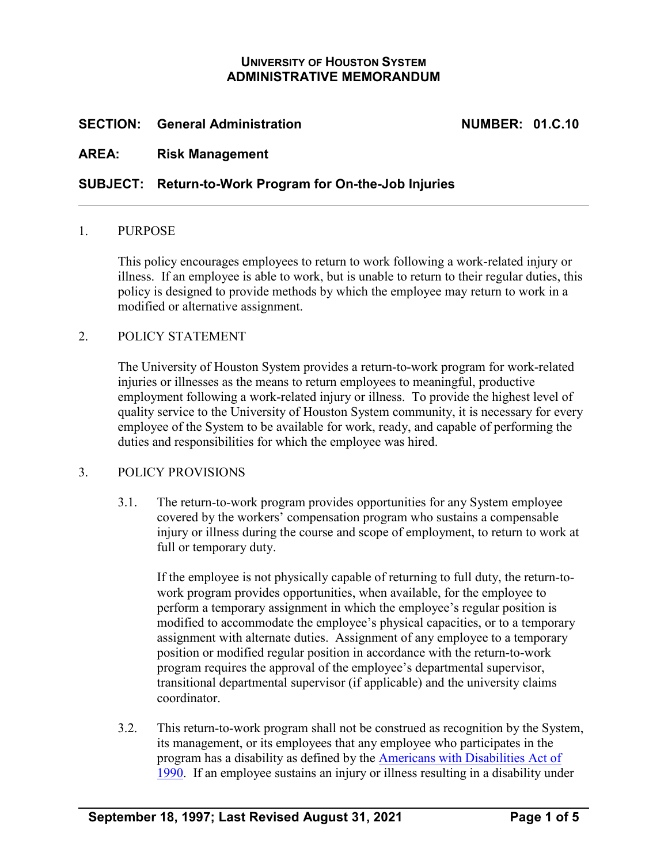# **UNIVERSITY OF HOUSTON SYSTEM ADMINISTRATIVE MEMORANDUM**

# **SECTION: General Administration NUMBER: 01.C.10**

### **AREA: Risk Management**

### **SUBJECT: Return-to-Work Program for On-the-Job Injuries**

#### 1. PURPOSE

This policy encourages employees to return to work following a work-related injury or illness. If an employee is able to work, but is unable to return to their regular duties, this policy is designed to provide methods by which the employee may return to work in a modified or alternative assignment.

### 2. POLICY STATEMENT

The University of Houston System provides a return-to-work program for work-related injuries or illnesses as the means to return employees to meaningful, productive employment following a work-related injury or illness. To provide the highest level of quality service to the University of Houston System community, it is necessary for every employee of the System to be available for work, ready, and capable of performing the duties and responsibilities for which the employee was hired.

#### 3. POLICY PROVISIONS

3.1. The return-to-work program provides opportunities for any System employee covered by the workers' compensation program who sustains a compensable injury or illness during the course and scope of employment, to return to work at full or temporary duty.

If the employee is not physically capable of returning to full duty, the return-towork program provides opportunities, when available, for the employee to perform a temporary assignment in which the employee's regular position is modified to accommodate the employee's physical capacities, or to a temporary assignment with alternate duties. Assignment of any employee to a temporary position or modified regular position in accordance with the return-to-work program requires the approval of the employee's departmental supervisor, transitional departmental supervisor (if applicable) and the university claims coordinator.

3.2. This return-to-work program shall not be construed as recognition by the System, its management, or its employees that any employee who participates in the program has a disability as defined by the [Americans with Disabilities Act of](http://www.ada.gov/pubs/ada.htm)  [1990.](http://www.ada.gov/pubs/ada.htm) If an employee sustains an injury or illness resulting in a disability under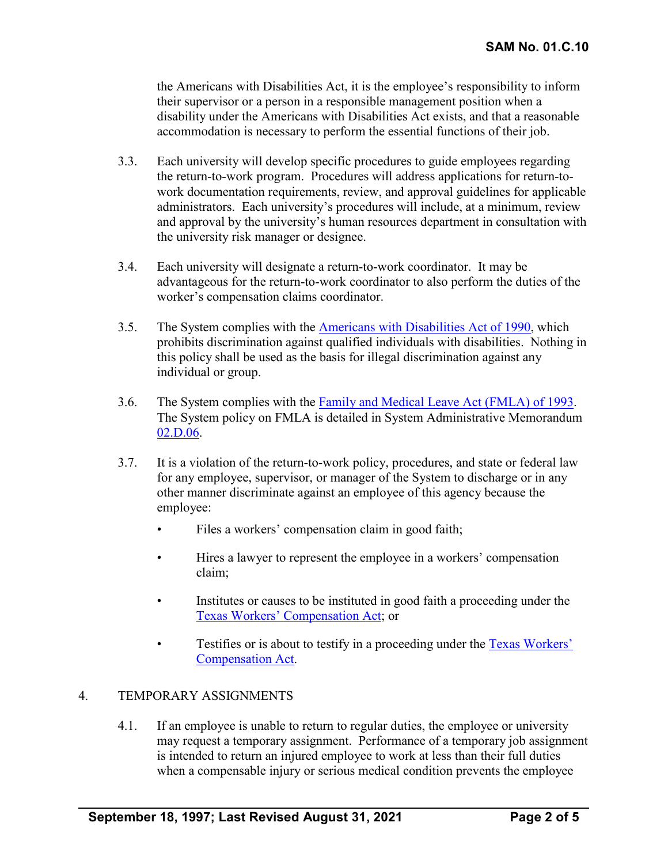the Americans with Disabilities Act, it is the employee's responsibility to inform their supervisor or a person in a responsible management position when a disability under the Americans with Disabilities Act exists, and that a reasonable accommodation is necessary to perform the essential functions of their job.

- 3.3. Each university will develop specific procedures to guide employees regarding the return-to-work program. Procedures will address applications for return-towork documentation requirements, review, and approval guidelines for applicable administrators. Each university's procedures will include, at a minimum, review and approval by the university's human resources department in consultation with the university risk manager or designee.
- 3.4. Each university will designate a return-to-work coordinator. It may be advantageous for the return-to-work coordinator to also perform the duties of the worker's compensation claims coordinator.
- 3.5. The System complies with the [Americans with Disabilities Act of 1990,](http://www.ada.gov/pubs/ada.htm) which prohibits discrimination against qualified individuals with disabilities. Nothing in this policy shall be used as the basis for illegal discrimination against any individual or group.
- 3.6. The System complies with the [Family and Medical Leave Act \(FMLA\) of 1993.](http://www.dol.gov/whd/regs/statutes/fmla.htm) The System policy on FMLA is detailed in System Administrative Memorandum [02.D.06.](https://uhsystem.edu/compliance-ethics/_docs/sam/02/2d6.pdf)
- 3.7. It is a violation of the return-to-work policy, procedures, and state or federal law for any employee, supervisor, or manager of the System to discharge or in any other manner discriminate against an employee of this agency because the employee:
	- Files a workers' compensation claim in good faith;
	- Hires a lawyer to represent the employee in a workers' compensation claim;
	- Institutes or causes to be instituted in good faith a proceeding under the [Texas Workers' Compensation Act;](https://www.tdi.texas.gov/wc/act/index.html) or
	- Testifies or is about to testify in a proceeding under the Texas Workers' [Compensation Act.](https://www.tdi.texas.gov/wc/act/index.html)

# 4. TEMPORARY ASSIGNMENTS

4.1. If an employee is unable to return to regular duties, the employee or university may request a temporary assignment. Performance of a temporary job assignment is intended to return an injured employee to work at less than their full duties when a compensable injury or serious medical condition prevents the employee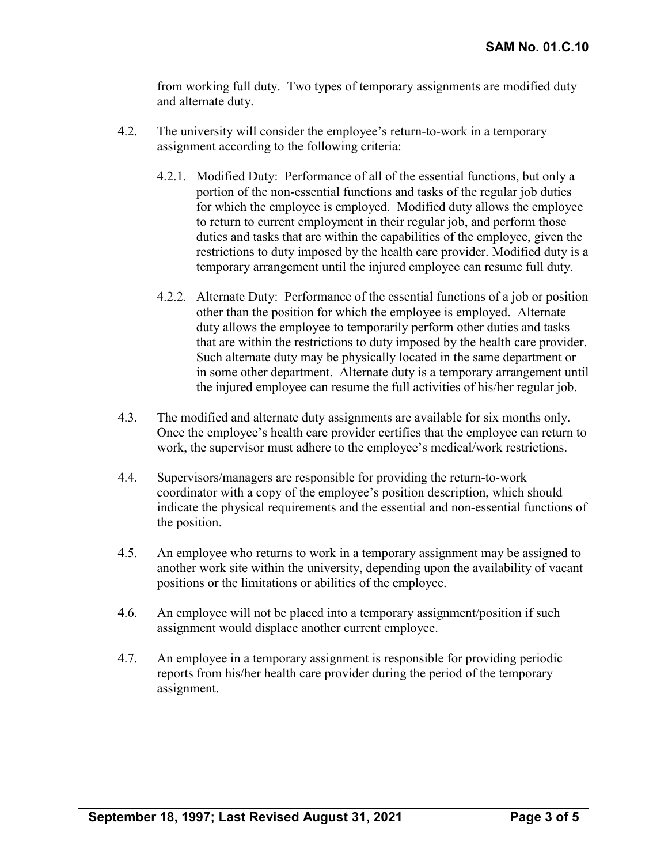from working full duty. Two types of temporary assignments are modified duty and alternate duty.

- 4.2. The university will consider the employee's return-to-work in a temporary assignment according to the following criteria:
	- 4.2.1. Modified Duty: Performance of all of the essential functions, but only a portion of the non-essential functions and tasks of the regular job duties for which the employee is employed. Modified duty allows the employee to return to current employment in their regular job, and perform those duties and tasks that are within the capabilities of the employee, given the restrictions to duty imposed by the health care provider. Modified duty is a temporary arrangement until the injured employee can resume full duty.
	- 4.2.2. Alternate Duty: Performance of the essential functions of a job or position other than the position for which the employee is employed. Alternate duty allows the employee to temporarily perform other duties and tasks that are within the restrictions to duty imposed by the health care provider. Such alternate duty may be physically located in the same department or in some other department. Alternate duty is a temporary arrangement until the injured employee can resume the full activities of his/her regular job.
- 4.3. The modified and alternate duty assignments are available for six months only. Once the employee's health care provider certifies that the employee can return to work, the supervisor must adhere to the employee's medical/work restrictions.
- 4.4. Supervisors/managers are responsible for providing the return-to-work coordinator with a copy of the employee's position description, which should indicate the physical requirements and the essential and non-essential functions of the position.
- 4.5. An employee who returns to work in a temporary assignment may be assigned to another work site within the university, depending upon the availability of vacant positions or the limitations or abilities of the employee.
- 4.6. An employee will not be placed into a temporary assignment/position if such assignment would displace another current employee.
- 4.7. An employee in a temporary assignment is responsible for providing periodic reports from his/her health care provider during the period of the temporary assignment.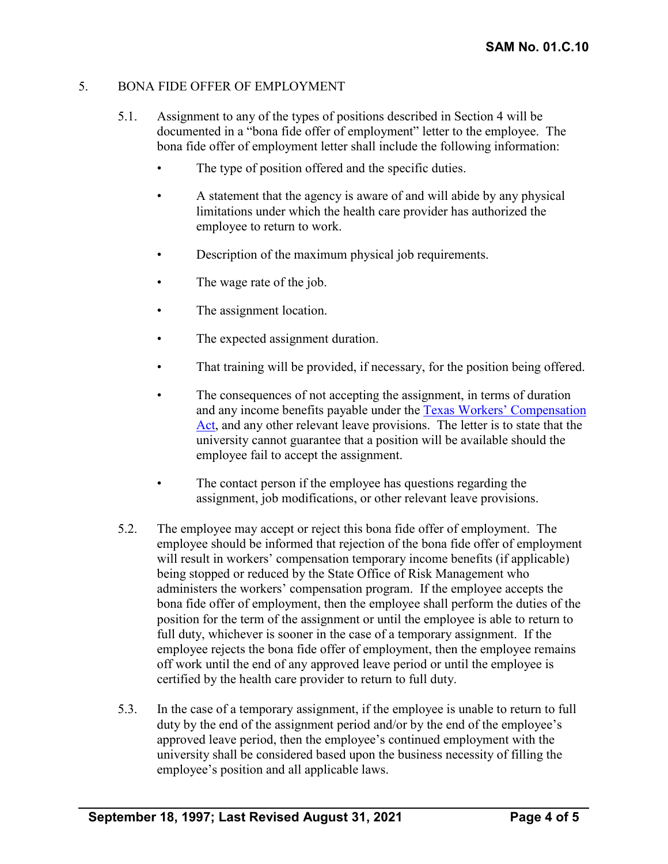# 5. BONA FIDE OFFER OF EMPLOYMENT

- 5.1. Assignment to any of the types of positions described in Section 4 will be documented in a "bona fide offer of employment" letter to the employee. The bona fide offer of employment letter shall include the following information:
	- The type of position offered and the specific duties.
	- A statement that the agency is aware of and will abide by any physical limitations under which the health care provider has authorized the employee to return to work.
	- Description of the maximum physical job requirements.
	- The wage rate of the job.
	- The assignment location.
	- The expected assignment duration.
	- That training will be provided, if necessary, for the position being offered.
	- The consequences of not accepting the assignment, in terms of duration and any income benefits payable under the [Texas Workers' Compensation](https://www.tdi.texas.gov/wc/act/index.html)  [Act,](https://www.tdi.texas.gov/wc/act/index.html) and any other relevant leave provisions. The letter is to state that the university cannot guarantee that a position will be available should the employee fail to accept the assignment.
	- The contact person if the employee has questions regarding the assignment, job modifications, or other relevant leave provisions.
- 5.2. The employee may accept or reject this bona fide offer of employment. The employee should be informed that rejection of the bona fide offer of employment will result in workers' compensation temporary income benefits (if applicable) being stopped or reduced by the State Office of Risk Management who administers the workers' compensation program. If the employee accepts the bona fide offer of employment, then the employee shall perform the duties of the position for the term of the assignment or until the employee is able to return to full duty, whichever is sooner in the case of a temporary assignment. If the employee rejects the bona fide offer of employment, then the employee remains off work until the end of any approved leave period or until the employee is certified by the health care provider to return to full duty.
- 5.3. In the case of a temporary assignment, if the employee is unable to return to full duty by the end of the assignment period and/or by the end of the employee's approved leave period, then the employee's continued employment with the university shall be considered based upon the business necessity of filling the employee's position and all applicable laws.